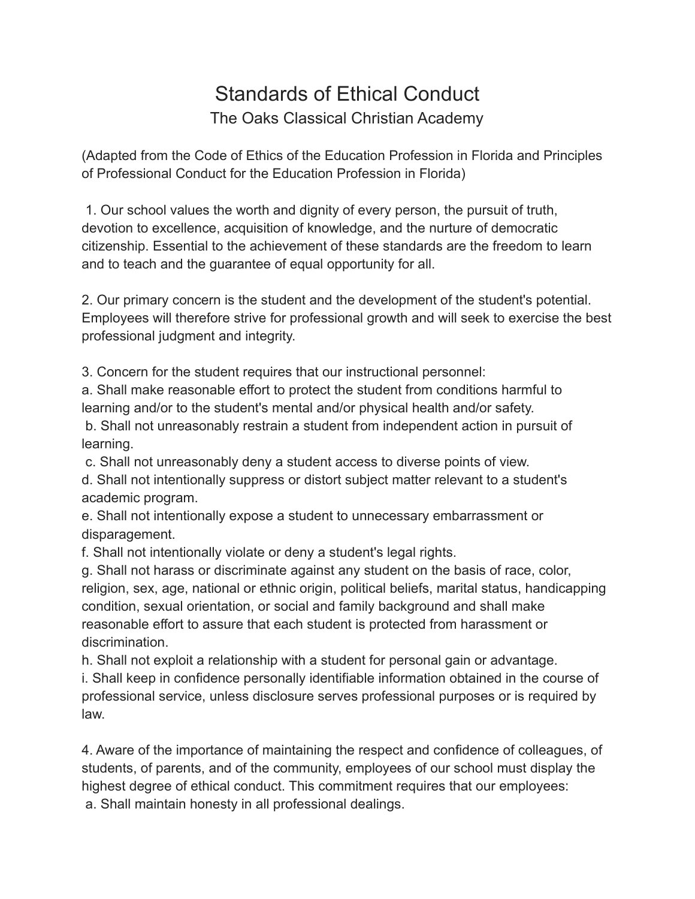## Standards of Ethical Conduct The Oaks Classical Christian Academy

(Adapted from the Code of Ethics of the Education Profession in Florida and Principles of Professional Conduct for the Education Profession in Florida)

1. Our school values the worth and dignity of every person, the pursuit of truth, devotion to excellence, acquisition of knowledge, and the nurture of democratic citizenship. Essential to the achievement of these standards are the freedom to learn and to teach and the guarantee of equal opportunity for all.

2. Our primary concern is the student and the development of the student's potential. Employees will therefore strive for professional growth and will seek to exercise the best professional judgment and integrity.

3. Concern for the student requires that our instructional personnel:

a. Shall make reasonable effort to protect the student from conditions harmful to learning and/or to the student's mental and/or physical health and/or safety.

b. Shall not unreasonably restrain a student from independent action in pursuit of learning.

c. Shall not unreasonably deny a student access to diverse points of view.

d. Shall not intentionally suppress or distort subject matter relevant to a student's academic program.

e. Shall not intentionally expose a student to unnecessary embarrassment or disparagement.

f. Shall not intentionally violate or deny a student's legal rights.

g. Shall not harass or discriminate against any student on the basis of race, color, religion, sex, age, national or ethnic origin, political beliefs, marital status, handicapping condition, sexual orientation, or social and family background and shall make reasonable effort to assure that each student is protected from harassment or discrimination.

h. Shall not exploit a relationship with a student for personal gain or advantage. i. Shall keep in confidence personally identifiable information obtained in the course of professional service, unless disclosure serves professional purposes or is required by law.

4. Aware of the importance of maintaining the respect and confidence of colleagues, of students, of parents, and of the community, employees of our school must display the highest degree of ethical conduct. This commitment requires that our employees: a. Shall maintain honesty in all professional dealings.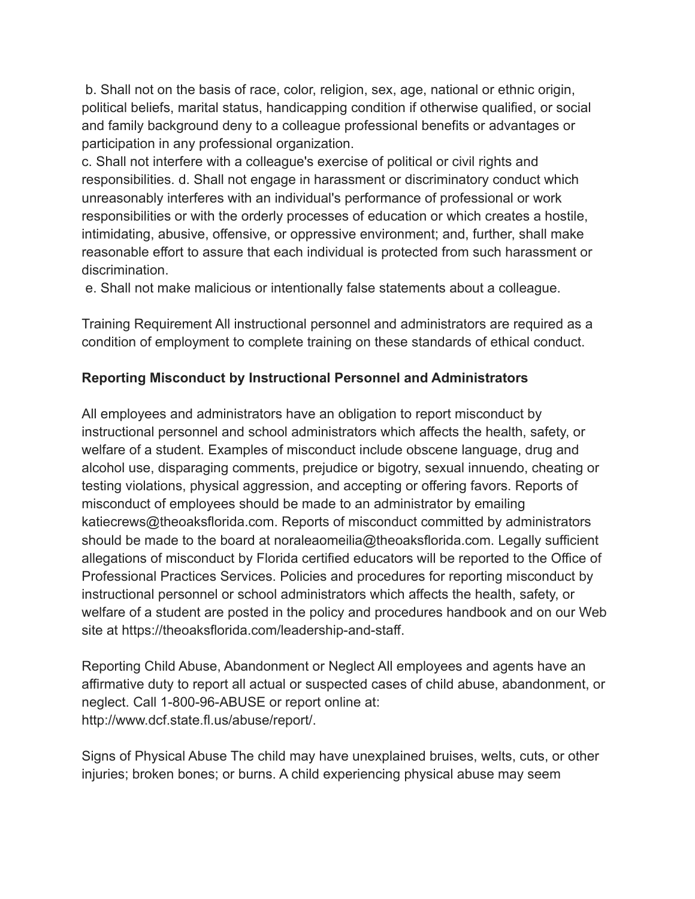b. Shall not on the basis of race, color, religion, sex, age, national or ethnic origin, political beliefs, marital status, handicapping condition if otherwise qualified, or social and family background deny to a colleague professional benefits or advantages or participation in any professional organization.

c. Shall not interfere with a colleague's exercise of political or civil rights and responsibilities. d. Shall not engage in harassment or discriminatory conduct which unreasonably interferes with an individual's performance of professional or work responsibilities or with the orderly processes of education or which creates a hostile, intimidating, abusive, offensive, or oppressive environment; and, further, shall make reasonable effort to assure that each individual is protected from such harassment or discrimination.

e. Shall not make malicious or intentionally false statements about a colleague.

Training Requirement All instructional personnel and administrators are required as a condition of employment to complete training on these standards of ethical conduct.

## **Reporting Misconduct by Instructional Personnel and Administrators**

All employees and administrators have an obligation to report misconduct by instructional personnel and school administrators which affects the health, safety, or welfare of a student. Examples of misconduct include obscene language, drug and alcohol use, disparaging comments, prejudice or bigotry, sexual innuendo, cheating or testing violations, physical aggression, and accepting or offering favors. Reports of misconduct of employees should be made to an administrator by emailing katiecrews@theoaksflorida.com. Reports of misconduct committed by administrators should be made to the board at noraleaomeilia@theoaksflorida.com. Legally sufficient allegations of misconduct by Florida certified educators will be reported to the Office of Professional Practices Services. Policies and procedures for reporting misconduct by instructional personnel or school administrators which affects the health, safety, or welfare of a student are posted in the policy and procedures handbook and on our Web site at https://theoaksflorida.com/leadership-and-staff.

Reporting Child Abuse, Abandonment or Neglect All employees and agents have an affirmative duty to report all actual or suspected cases of child abuse, abandonment, or neglect. Call 1-800-96-ABUSE or report online at: http://www.dcf.state.fl.us/abuse/report/.

Signs of Physical Abuse The child may have unexplained bruises, welts, cuts, or other injuries; broken bones; or burns. A child experiencing physical abuse may seem